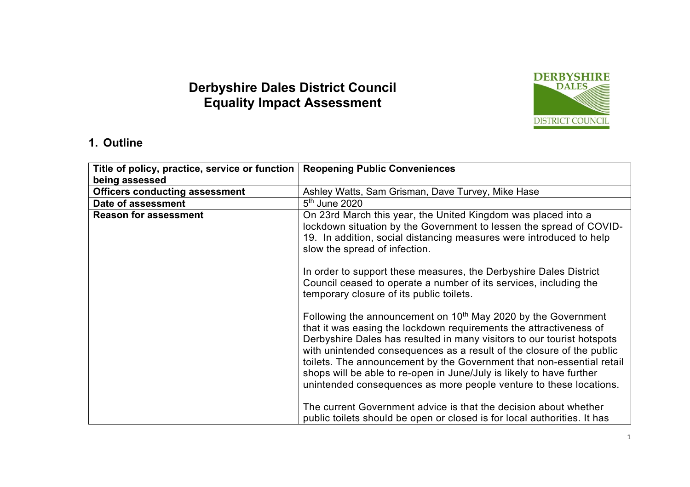# **Derbyshire Dales District Council Equality Impact Assessment**



#### **1. Outline**

| Title of policy, practice, service or function | <b>Reopening Public Conveniences</b>                                                                                                                                                                                                                                                                                                                                                                                                                                                                                      |
|------------------------------------------------|---------------------------------------------------------------------------------------------------------------------------------------------------------------------------------------------------------------------------------------------------------------------------------------------------------------------------------------------------------------------------------------------------------------------------------------------------------------------------------------------------------------------------|
| being assessed                                 |                                                                                                                                                                                                                                                                                                                                                                                                                                                                                                                           |
| <b>Officers conducting assessment</b>          | Ashley Watts, Sam Grisman, Dave Turvey, Mike Hase                                                                                                                                                                                                                                                                                                                                                                                                                                                                         |
| Date of assessment                             | 5 <sup>th</sup> June 2020                                                                                                                                                                                                                                                                                                                                                                                                                                                                                                 |
| <b>Reason for assessment</b>                   | On 23rd March this year, the United Kingdom was placed into a<br>lockdown situation by the Government to lessen the spread of COVID-<br>19. In addition, social distancing measures were introduced to help<br>slow the spread of infection.                                                                                                                                                                                                                                                                              |
|                                                | In order to support these measures, the Derbyshire Dales District<br>Council ceased to operate a number of its services, including the<br>temporary closure of its public toilets.                                                                                                                                                                                                                                                                                                                                        |
|                                                | Following the announcement on 10 <sup>th</sup> May 2020 by the Government<br>that it was easing the lockdown requirements the attractiveness of<br>Derbyshire Dales has resulted in many visitors to our tourist hotspots<br>with unintended consequences as a result of the closure of the public<br>toilets. The announcement by the Government that non-essential retail<br>shops will be able to re-open in June/July is likely to have further<br>unintended consequences as more people venture to these locations. |
|                                                | The current Government advice is that the decision about whether<br>public toilets should be open or closed is for local authorities. It has                                                                                                                                                                                                                                                                                                                                                                              |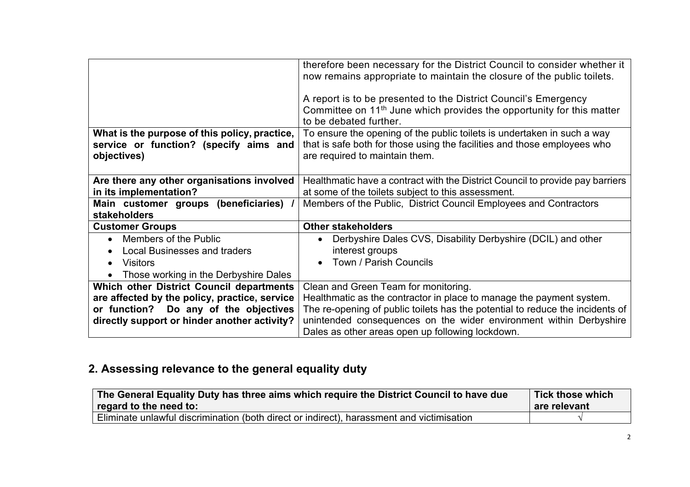|                                               | therefore been necessary for the District Council to consider whether it          |  |
|-----------------------------------------------|-----------------------------------------------------------------------------------|--|
|                                               | now remains appropriate to maintain the closure of the public toilets.            |  |
|                                               | A report is to be presented to the District Council's Emergency                   |  |
|                                               | Committee on 11 <sup>th</sup> June which provides the opportunity for this matter |  |
|                                               | to be debated further.                                                            |  |
| What is the purpose of this policy, practice, | To ensure the opening of the public toilets is undertaken in such a way           |  |
| service or function? (specify aims and        | that is safe both for those using the facilities and those employees who          |  |
| objectives)                                   | are required to maintain them.                                                    |  |
|                                               |                                                                                   |  |
| Are there any other organisations involved    | Healthmatic have a contract with the District Council to provide pay barriers     |  |
| in its implementation?                        | at some of the toilets subject to this assessment.                                |  |
| Main customer groups (beneficiaries)          | Members of the Public, District Council Employees and Contractors                 |  |
| stakeholders                                  |                                                                                   |  |
| <b>Customer Groups</b>                        | <b>Other stakeholders</b>                                                         |  |
| Members of the Public<br>$\bullet$            | Derbyshire Dales CVS, Disability Derbyshire (DCIL) and other                      |  |
| <b>Local Businesses and traders</b>           | interest groups                                                                   |  |
| <b>Visitors</b>                               | Town / Parish Councils                                                            |  |
| Those working in the Derbyshire Dales         |                                                                                   |  |
| Which other District Council departments      | Clean and Green Team for monitoring.                                              |  |
| are affected by the policy, practice, service | Healthmatic as the contractor in place to manage the payment system.              |  |
| or function? Do any of the objectives         | The re-opening of public toilets has the potential to reduce the incidents of     |  |
| directly support or hinder another activity?  | unintended consequences on the wider environment within Derbyshire                |  |
|                                               | Dales as other areas open up following lockdown.                                  |  |

# **2. Assessing relevance to the general equality duty**

| The General Equality Duty has three aims which require the District Council to have due<br>regard to the need to: | <b>Tick those which</b><br>are relevant |
|-------------------------------------------------------------------------------------------------------------------|-----------------------------------------|
| Eliminate unlawful discrimination (both direct or indirect), harassment and victimisation                         |                                         |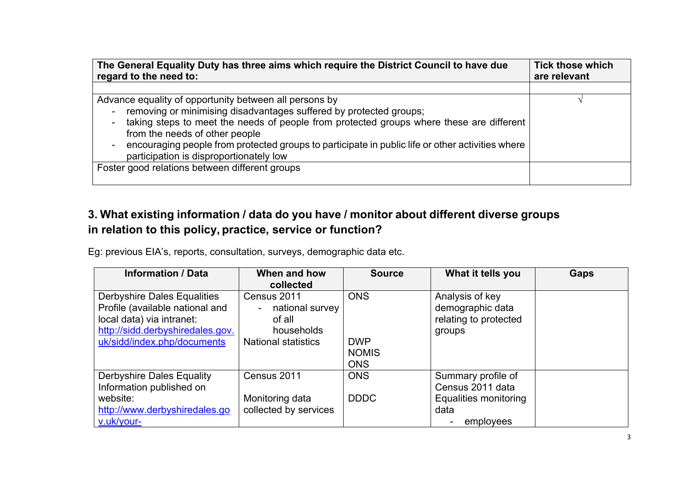| The General Equality Duty has three aims which require the District Council to have due          | <b>Tick those which</b> |
|--------------------------------------------------------------------------------------------------|-------------------------|
| regard to the need to:                                                                           | are relevant            |
|                                                                                                  |                         |
| Advance equality of opportunity between all persons by                                           |                         |
| removing or minimising disadvantages suffered by protected groups;                               |                         |
| taking steps to meet the needs of people from protected groups where these are different         |                         |
| from the needs of other people                                                                   |                         |
| encouraging people from protected groups to participate in public life or other activities where |                         |
| participation is disproportionately low                                                          |                         |
| Foster good relations between different groups                                                   |                         |
|                                                                                                  |                         |

## **3. What existing information / data do you have / monitor about different diverse groups in relation to this policy, practice, service or function?**

Eg: previous EIA's, reports, consultation, surveys, demographic data etc.

| <b>Information / Data</b>                                                                                                                                             | When and how<br>collected                                                                      | <b>Source</b>                                          | What it tells you                                                      | <b>Gaps</b> |
|-----------------------------------------------------------------------------------------------------------------------------------------------------------------------|------------------------------------------------------------------------------------------------|--------------------------------------------------------|------------------------------------------------------------------------|-------------|
| <b>Derbyshire Dales Equalities</b><br>Profile (available national and<br>local data) via intranet:<br>http://sidd.derbyshiredales.gov.<br>uk/sidd/index.php/documents | Census 2011<br>national survey<br>$\sim$<br>of all<br>households<br><b>National statistics</b> | <b>ONS</b><br><b>DWP</b><br><b>NOMIS</b><br><b>ONS</b> | Analysis of key<br>demographic data<br>relating to protected<br>groups |             |
| <b>Derbyshire Dales Equality</b><br>Information published on<br>website:                                                                                              | Census 2011<br>Monitoring data                                                                 | <b>ONS</b><br><b>DDDC</b>                              | Summary profile of<br>Census 2011 data<br>Equalities monitoring        |             |
| http://www.derbyshiredales.go<br>v.uk/your-                                                                                                                           | collected by services                                                                          |                                                        | data<br>employees                                                      |             |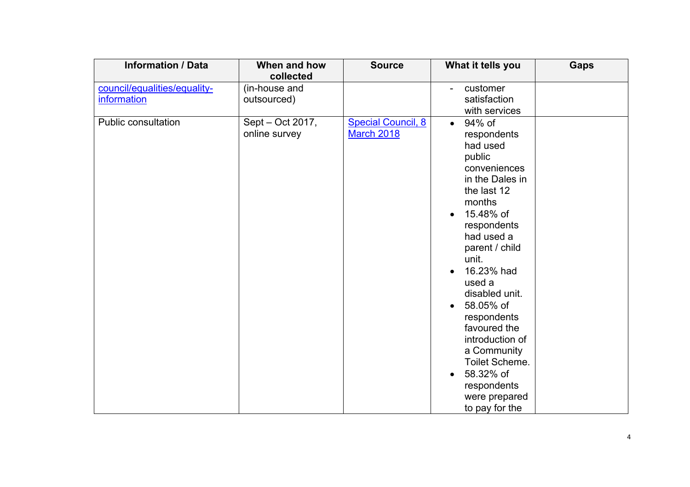| <b>Information / Data</b>    | When and how                      | <b>Source</b>                                  | What it tells you                                                                                                                                                                                                                                                                                                                                                                                               | <b>Gaps</b> |
|------------------------------|-----------------------------------|------------------------------------------------|-----------------------------------------------------------------------------------------------------------------------------------------------------------------------------------------------------------------------------------------------------------------------------------------------------------------------------------------------------------------------------------------------------------------|-------------|
|                              | collected                         |                                                |                                                                                                                                                                                                                                                                                                                                                                                                                 |             |
| council/equalities/equality- | (in-house and                     |                                                | customer                                                                                                                                                                                                                                                                                                                                                                                                        |             |
| information                  | outsourced)                       |                                                | satisfaction                                                                                                                                                                                                                                                                                                                                                                                                    |             |
|                              |                                   |                                                | with services                                                                                                                                                                                                                                                                                                                                                                                                   |             |
| <b>Public consultation</b>   | Sept - Oct 2017,<br>online survey | <b>Special Council, 8</b><br><b>March 2018</b> | 94% of<br>$\bullet$<br>respondents<br>had used<br>public<br>conveniences<br>in the Dales in<br>the last 12<br>months<br>15.48% of<br>$\bullet$<br>respondents<br>had used a<br>parent / child<br>unit.<br>16.23% had<br>used a<br>disabled unit.<br>58.05% of<br>respondents<br>favoured the<br>introduction of<br>a Community<br>Toilet Scheme.<br>58.32% of<br>respondents<br>were prepared<br>to pay for the |             |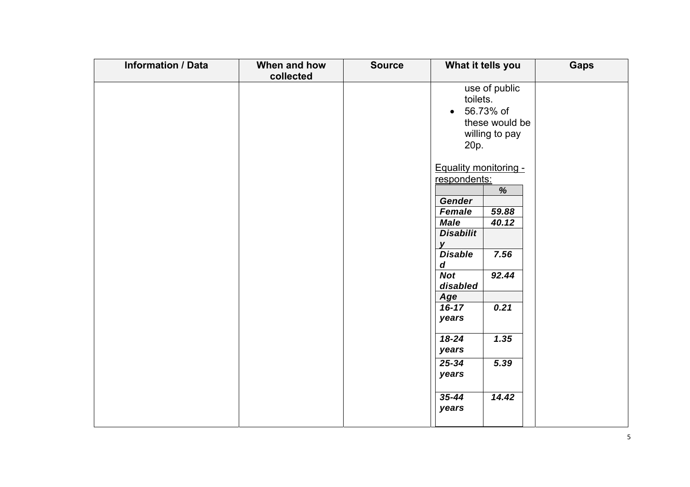| <b>Information / Data</b> | When and how | <b>Source</b> | What it tells you                                                                                                                                                                                                                                                                                                                                                                                                           | <b>Gaps</b> |
|---------------------------|--------------|---------------|-----------------------------------------------------------------------------------------------------------------------------------------------------------------------------------------------------------------------------------------------------------------------------------------------------------------------------------------------------------------------------------------------------------------------------|-------------|
|                           |              |               |                                                                                                                                                                                                                                                                                                                                                                                                                             |             |
|                           | collected    |               | use of public<br>toilets.<br>56.73% of<br>$\bullet$<br>these would be<br>willing to pay<br>20p.<br><b>Equality monitoring -</b><br>respondents:<br>%<br>Gender<br>Female<br>59.88<br><b>Male</b><br>40.12<br><b>Disabilit</b><br>V<br><b>Disable</b><br>7.56<br>$\boldsymbol{d}$<br><b>Not</b><br>92.44<br>disabled<br><b>Age</b><br>0.21<br>$16 - 17$<br>years<br>$18 - 24$<br>1.35<br>years<br>$25 - 34$<br>5.39<br>years |             |
|                           |              |               | $35 - 44$<br>14.42<br>years                                                                                                                                                                                                                                                                                                                                                                                                 |             |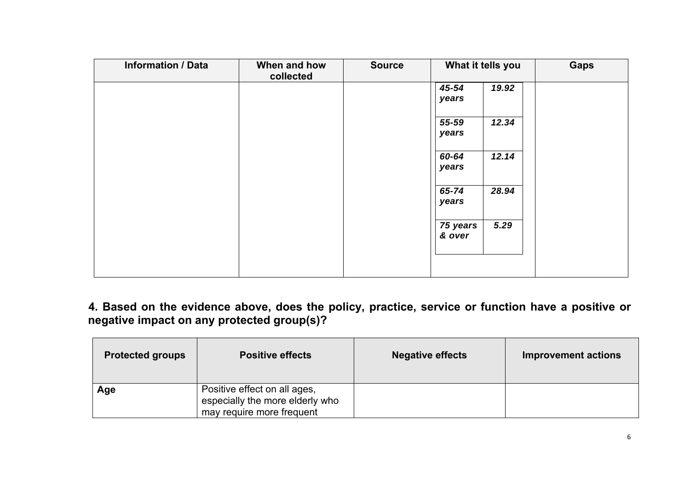| <b>Information / Data</b> | When and how<br>collected | <b>Source</b> | What it tells you  |       | <b>Gaps</b> |
|---------------------------|---------------------------|---------------|--------------------|-------|-------------|
|                           |                           |               | 45-54<br>years     | 19.92 |             |
|                           |                           |               |                    |       |             |
|                           |                           |               | 55-59<br>years     | 12.34 |             |
|                           |                           |               | 60-64              | 12.14 |             |
|                           |                           |               | years              |       |             |
|                           |                           |               | 65-74              | 28.94 |             |
|                           |                           |               | years              |       |             |
|                           |                           |               | 75 years<br>& over | 5.29  |             |
|                           |                           |               |                    |       |             |
|                           |                           |               |                    |       |             |

**4. Based on the evidence above, does the policy, practice, service or function have a positive or negative impact on any protected group(s)?** 

| <b>Protected groups</b> | <b>Positive effects</b>                                                                      | <b>Negative effects</b> | <b>Improvement actions</b> |
|-------------------------|----------------------------------------------------------------------------------------------|-------------------------|----------------------------|
| Age                     | Positive effect on all ages,<br>especially the more elderly who<br>may require more frequent |                         |                            |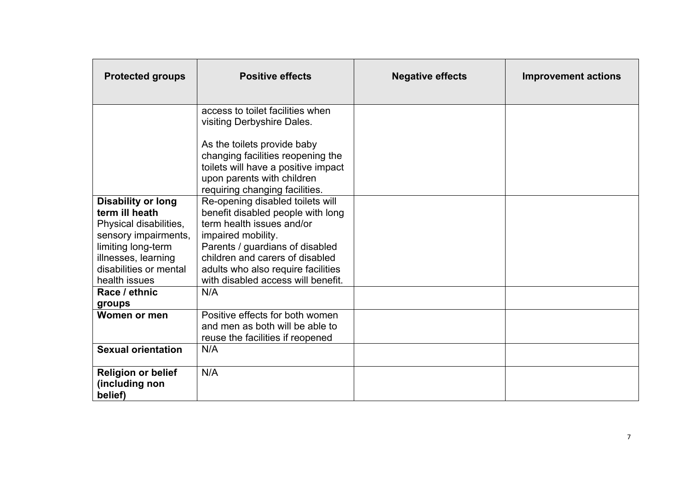| <b>Protected groups</b>   | <b>Positive effects</b>                                          | <b>Negative effects</b> | <b>Improvement actions</b> |
|---------------------------|------------------------------------------------------------------|-------------------------|----------------------------|
|                           | access to toilet facilities when                                 |                         |                            |
|                           | visiting Derbyshire Dales.                                       |                         |                            |
|                           |                                                                  |                         |                            |
|                           | As the toilets provide baby<br>changing facilities reopening the |                         |                            |
|                           | toilets will have a positive impact                              |                         |                            |
|                           | upon parents with children                                       |                         |                            |
|                           | requiring changing facilities.                                   |                         |                            |
| <b>Disability or long</b> | Re-opening disabled toilets will                                 |                         |                            |
| term ill heath            | benefit disabled people with long                                |                         |                            |
| Physical disabilities,    | term health issues and/or                                        |                         |                            |
| sensory impairments,      | impaired mobility.                                               |                         |                            |
| limiting long-term        | Parents / guardians of disabled                                  |                         |                            |
| illnesses, learning       | children and carers of disabled                                  |                         |                            |
| disabilities or mental    | adults who also require facilities                               |                         |                            |
| health issues             | with disabled access will benefit.                               |                         |                            |
| Race / ethnic             | N/A                                                              |                         |                            |
| groups                    |                                                                  |                         |                            |
| Women or men              | Positive effects for both women                                  |                         |                            |
|                           | and men as both will be able to                                  |                         |                            |
|                           | reuse the facilities if reopened                                 |                         |                            |
| <b>Sexual orientation</b> | N/A                                                              |                         |                            |
| <b>Religion or belief</b> | N/A                                                              |                         |                            |
| (including non            |                                                                  |                         |                            |
| belief)                   |                                                                  |                         |                            |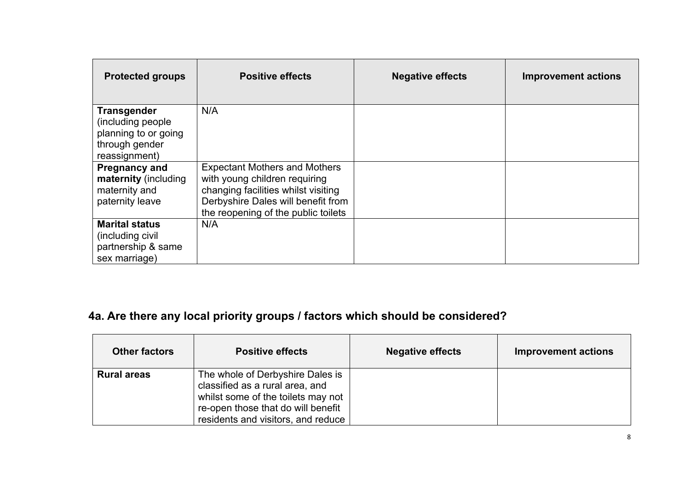| <b>Protected groups</b>                                                                             | <b>Positive effects</b>                                                                                                                                                                   | <b>Negative effects</b> | <b>Improvement actions</b> |
|-----------------------------------------------------------------------------------------------------|-------------------------------------------------------------------------------------------------------------------------------------------------------------------------------------------|-------------------------|----------------------------|
| <b>Transgender</b><br>(including people)<br>planning to or going<br>through gender<br>reassignment) | N/A                                                                                                                                                                                       |                         |                            |
| <b>Pregnancy and</b><br>maternity (including<br>maternity and<br>paternity leave                    | <b>Expectant Mothers and Mothers</b><br>with young children requiring<br>changing facilities whilst visiting<br>Derbyshire Dales will benefit from<br>the reopening of the public toilets |                         |                            |
| <b>Marital status</b><br>(including civil<br>partnership & same<br>sex marriage)                    | N/A                                                                                                                                                                                       |                         |                            |

### **4a. Are there any local priority groups / factors which should be considered?**

| <b>Other factors</b> | <b>Positive effects</b>                                                                                                                                                               | <b>Negative effects</b> | <b>Improvement actions</b> |
|----------------------|---------------------------------------------------------------------------------------------------------------------------------------------------------------------------------------|-------------------------|----------------------------|
| <b>Rural areas</b>   | The whole of Derbyshire Dales is<br>classified as a rural area, and<br>whilst some of the toilets may not<br>re-open those that do will benefit<br>residents and visitors, and reduce |                         |                            |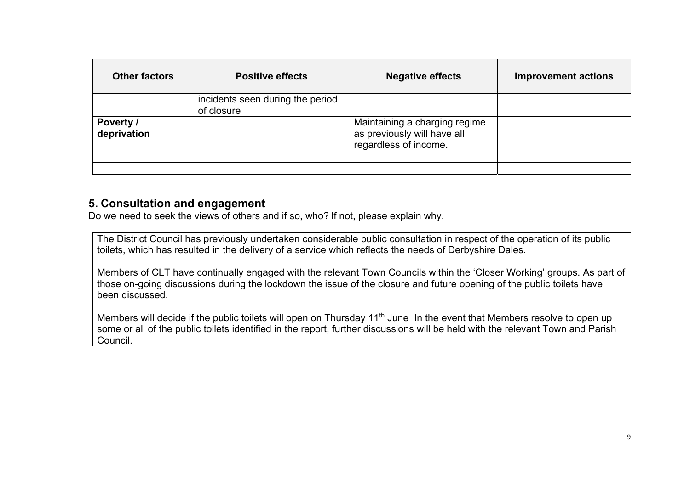| <b>Other factors</b>     | <b>Positive effects</b>                        | <b>Negative effects</b>                                                               | <b>Improvement actions</b> |
|--------------------------|------------------------------------------------|---------------------------------------------------------------------------------------|----------------------------|
|                          | incidents seen during the period<br>of closure |                                                                                       |                            |
| Poverty /<br>deprivation |                                                | Maintaining a charging regime<br>as previously will have all<br>regardless of income. |                            |
|                          |                                                |                                                                                       |                            |
|                          |                                                |                                                                                       |                            |

### **5. Consultation and engagement**

Do we need to seek the views of others and if so, who? If not, please explain why.

The District Council has previously undertaken considerable public consultation in respect of the operation of its public toilets, which has resulted in the delivery of a service which reflects the needs of Derbyshire Dales.

Members of CLT have continually engaged with the relevant Town Councils within the 'Closer Working' groups. As part of those on-going discussions during the lockdown the issue of the closure and future opening of the public toilets have been discussed.

Members will decide if the public toilets will open on Thursday 11<sup>th</sup> June In the event that Members resolve to open up some or all of the public toilets identified in the report, further discussions will be held with the relevant Town and Parish Council.